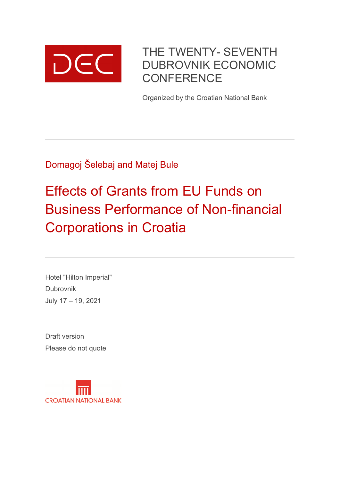

# THE TWENTY- SEVENTH DUBROVNIK ECONOMIC **CONFERENCE**

Organized by the Croatian National Bank

Domagoj Šelebaj and Matej Bule

# Effects of Grants from EU Funds on Business Performance of Non-financial Corporations in Croatia

Hotel "Hilton Imperial" Dubrovnik July 17 – 19, 2021

Draft version Please do not quote

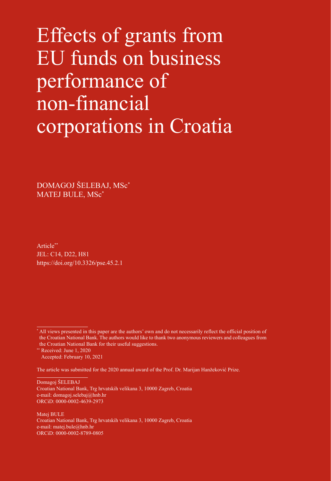# Effects of grants from EU funds on business performance of non-financial corporations in Croatia

DOMAGOJ ŠELEBAJ, MSc\* MATEJ BULE, MSc\*

Article\*\* JEL: C14, D22, H81 https://doi.org/10.3326/pse.45.2.1

The article was submitted for the 2020 annual award of the Prof. Dr. Marijan Hanžeković Prize.

Domagoj ŠELEBAJ Croatian National Bank, Trg hrvatskih velikana 3, 10000 Zagreb, Croatia e-mail: domagoj.seleba[j@hnb.hr](mailto:domagoj.selebaj%40hnb.hr?subject=) ORCiD: [0000-0002-4639-2973](https://orcid.org/0000-0002-4639-2973)

Matej BULE Croatian National Bank, Trg hrvatskih velikana 3, 10000 Zagreb, Croatia e-mail: matej.bule[@hnb.hr](mailto:matej.bule%40hnb.hr?subject=) ORCiD: [0000-0002-8789-0805](https://orcid.org/0000-0002-8789-0805)

<sup>\*</sup> All views presented in this paper are the authors' own and do not necessarily reflect the official position of the Croatian National Bank. The authors would like to thank two anonymous reviewers and colleagues from the Croatian National Bank for their useful suggestions.

<sup>\*\*</sup> Received: June 1, 2020

Accepted: February 10, 2021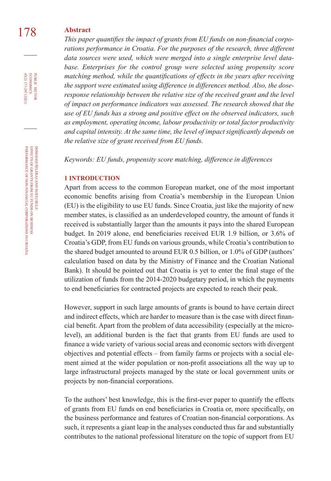### 178 **Abstract**

*This paper quantifies the impact of grants from EU funds on non-financial corporations performance in Croatia. For the purposes of the research, three different data sources were used, which were merged into a single enterprise level data*base. Enterprises for the control group were selected using propensity score *matching method, while the quantifications of effects in the years after receiving the support were estimated using difference in differences method. Also, the doseresponse relationship between the relative size of the received grant and the level of impact on performance indicators was assessed. The research showed that the use of EU funds has a strong and positive effect on the observed indicators, such as employment, operating income, labour productivity or total factor productivity and capital intensity. At the same time, the level of impact significantly depends on the relative size of grant received from EU funds.*

*Keywords: EU funds, propensity score matching, difference in differences*

#### **1 INTRODUCTION**

Apart from access to the common European market, one of the most important economic benefits arising from Croatia's membership in the European Union (EU) is the eligibility to use EU funds. Since Croatia, just like the majority of new member states, is classified as an underdeveloped country, the amount of funds it received is substantially larger than the amounts it pays into the shared European budget. In 2019 alone, end beneficiaries received EUR 1.9 billion, or 3.6% of Croatia's GDP, from EU funds on various grounds, while Croatia's contribution to the shared budget amounted to around EUR 0.5 billion, or 1.0% of GDP (authors' calculation based on data by the Ministry of Finance and the Croatian National Bank). It should be pointed out that Croatia is yet to enter the final stage of the utilization of funds from the 2014-2020 budgetary period, in which the payments to end beneficiaries for contracted projects are expected to reach their peak.

However, support in such large amounts of grants is bound to have certain direct and indirect effects, which are harder to measure than is the case with direct financial benefit. Apart from the problem of data accessibility (especially at the microlevel), an additional burden is the fact that grants from EU funds are used to finance a wide variety of various social areas and economic sectors with divergent objectives and potential effects – from family farms or projects with a social element aimed at the wider population or non-profit associations all the way up to large infrastructural projects managed by the state or local government units or projects by non-financial corporations.

To the authors' best knowledge, this is the first-ever paper to quantify the effects of grants from EU funds on end beneficiaries in Croatia or, more specifically, on the business performance and features of Croatian non-financial corporations. As such, it represents a giant leap in the analyses conducted thus far and substantially contributes to the national professional literature on the topic of support from EU

45(2) 177-207 (2021) economics

PUBLIC SECTOR<br>ECONOMICS 45(2) 177-207 (2021)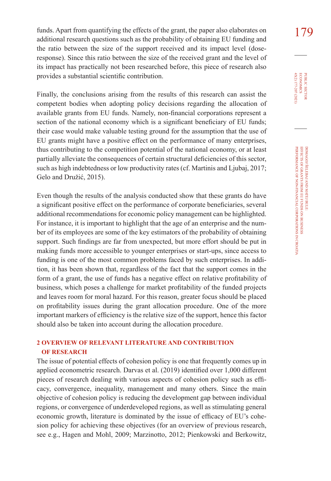funds. Apart from quantifying the effects of the grant, the paper also elaborates on 179 additional research questions such as the probability of obtaining EU funding and the ratio between the size of the support received and its impact level (doseresponse). Since this ratio between the size of the received grant and the level of its impact has practically not been researched before, this piece of research also provides a substantial scientific contribution.

Finally, the conclusions arising from the results of this research can assist the competent bodies when adopting policy decisions regarding the allocation of available grants from EU funds. Namely, non-financial corporations represent a section of the national economy which is a significant beneficiary of EU funds; their case would make valuable testing ground for the assumption that the use of EU grants might have a positive effect on the performance of many enterprises, thus contributing to the competition potential of the national economy, or at least partially alleviate the consequences of certain structural deficiencies of this sector, such as high indebtedness or low productivity rates (cf. Martinis and Ljubaj, 2017; Gelo and Družić, 2015).

Even though the results of the analysis conducted show that these grants do have a significant positive effect on the performance of corporate beneficiaries, several additional recommendations for economic policy management can be highlighted. For instance, it is important to highlight that the age of an enterprise and the number of its employees are some of the key estimators of the probability of obtaining support. Such findings are far from unexpected, but more effort should be put in making funds more accessible to younger enterprises or start-ups, since access to funding is one of the most common problems faced by such enterprises. In addition, it has been shown that, regardless of the fact that the support comes in the form of a grant, the use of funds has a negative effect on relative profitability of business, which poses a challenge for market profitability of the funded projects and leaves room for moral hazard. For this reason, greater focus should be placed on profitability issues during the grant allocation procedure. One of the more important markers of efficiency is the relative size of the support, hence this factor should also be taken into account during the allocation procedure.

#### **2 OVERVIEW OF RELEVANT LITERATURE AND CONTRIBUTION OF RESEARCH**

The issue of potential effects of cohesion policy is one that frequently comes up in applied econometric research. Darvas et al. (2019) identified over 1,000 different pieces of research dealing with various aspects of cohesion policy such as efficacy, convergence, inequality, management and many others. Since the main objective of cohesion policy is reducing the development gap between individual regions, or convergence of underdeveloped regions, as well as stimulating general economic growth, literature is dominated by the issue of efficacy of EU's cohesion policy for achieving these objectives (for an overview of previous research, see e.g., Hagen and Mohl, 2009; Marzinotto, 2012; Pienkowski and Berkowitz,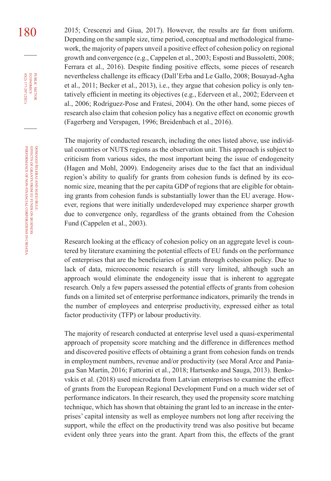180 <sup>2015;</sup> Crescenzi and Giua, 2017). However, the results are far from uniform. Depending on the sample size, time period, conceptual and methodological framework, the majority of papers unveil a positive effect of cohesion policy on regional growth and convergence (e.g., Cappelen et al., 2003; Esposti and Bussoletti, 2008; Ferrara et al., 2016). Despite finding positive effects, some pieces of research nevertheless challenge its efficacy (Dall'Erba and Le Gallo, 2008; Bouayad-Agha et al., 2011; Becker et al., 2013), i.e., they argue that cohesion policy is only tentatively efficient in meeting its objectives (e.g., Ederveen et al., 2002; Ederveen et al., 2006; Rodriguez-Pose and Fratesi, 2004). On the other hand, some pieces of research also claim that cohesion policy has a negative effect on economic growth (Fagerberg and Verspagen, 1996; Breidenbach et al., 2016).

> The majority of conducted research, including the ones listed above, use individual countries or NUTS regions as the observation unit. This approach is subject to criticism from various sides, the most important being the issue of endogeneity (Hagen and Mohl, 2009). Endogeneity arises due to the fact that an individual region's ability to qualify for grants from cohesion funds is defined by its economic size, meaning that the per capita GDP of regions that are eligible for obtaining grants from cohesion funds is substantially lower than the EU average. However, regions that were initially underdeveloped may experience sharper growth due to convergence only, regardless of the grants obtained from the Cohesion Fund (Cappelen et al., 2003).

> Research looking at the efficacy of cohesion policy on an aggregate level is countered by literature examining the potential effects of EU funds on the performance of enterprises that are the beneficiaries of grants through cohesion policy. Due to lack of data, microeconomic research is still very limited, although such an approach would eliminate the endogeneity issue that is inherent to aggregate research. Only a few papers assessed the potential effects of grants from cohesion funds on a limited set of enterprise performance indicators, primarily the trends in the number of employees and enterprise productivity, expressed either as total factor productivity (TFP) or labour productivity.

> The majority of research conducted at enterprise level used a quasi-experimental approach of propensity score matching and the difference in differences method and discovered positive effects of obtaining a grant from cohesion funds on trends in employment numbers, revenue and/or productivity (see Moral Arce and Paniagua San Martín, 2016; Fattorini et al., 2018; Hartsenko and Sauga, 2013). Benkovskis et al. (2018) used microdata from Latvian enterprises to examine the effect of grants from the European Regional Development Fund on a much wider set of performance indicators. In their research, they used the propensity score matching technique, which has shown that obtaining the grant led to an increase in the enterprises' capital intensity as well as employee numbers not long after receiving the support, while the effect on the productivity trend was also positive but became evident only three years into the grant. Apart from this, the effects of the grant

45(2) 177-207 (2021) economics

PUBLIC SECTOR<br>ECONOMICS 45(2) 177-207 (2021)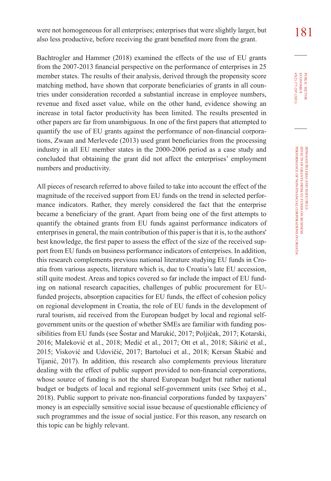were not homogeneous for all enterprises; enterprises that were slightly larger, but 181 also less productive, before receiving the grant benefited more from the grant.

Bachtrogler and Hammer (2018) examined the effects of the use of EU grants from the 2007-2013 financial perspective on the performance of enterprises in 25 member states. The results of their analysis, derived through the propensity score matching method, have shown that corporate beneficiaries of grants in all countries under consideration recorded a substantial increase in employee numbers, revenue and fixed asset value, while on the other hand, evidence showing an increase in total factor productivity has been limited. The results presented in other papers are far from unambiguous. In one of the first papers that attempted to quantify the use of EU grants against the performance of non-financial corporations, Zwaan and Merlevede (2013) used grant beneficiaries from the processing industry in all EU member states in the 2000-2006 period as a case study and concluded that obtaining the grant did not affect the enterprises' employment numbers and productivity.

All pieces of research referred to above failed to take into account the effect of the magnitude of the received support from EU funds on the trend in selected performance indicators. Rather, they merely considered the fact that the enterprise became a beneficiary of the grant. Apart from being one of the first attempts to quantify the obtained grants from EU funds against performance indicators of enterprises in general, the main contribution of this paper is that it is, to the authors' best knowledge, the first paper to assess the effect of the size of the received support from EU funds on business performance indicators of enterprises. In addition, this research complements previous national literature studying EU funds in Croatia from various aspects, literature which is, due to Croatia's late EU accession, still quite modest. Areas and topics covered so far include the impact of EU funding on national research capacities, challenges of public procurement for EUfunded projects, absorption capacities for EU funds, the effect of cohesion policy on regional development in Croatia, the role of EU funds in the development of rural tourism, aid received from the European budget by local and regional selfgovernment units or the question of whether SMEs are familiar with funding possibilities from EU funds (see Šostar and Marukić, 2017; Poljičak, 2017; Kotarski, 2016; Maleković et al., 2018; Medić et al., 2017; Ott et al., 2018; Sikirić et al., 2015; Visković and Udovičić, 2017; Bartoluci et al., 2018; Kersan Škabić and Tijanić, 2017). In addition, this research also complements previous literature dealing with the effect of public support provided to non-financial corporations, whose source of funding is not the shared European budget but rather national budget or budgets of local and regional self-government units (see Srhoj et al., 2018). Public support to private non-financial corporations funded by taxpayers' money is an especially sensitive social issue because of questionable efficiency of such programmes and the issue of social justice. For this reason, any research on this topic can be highly relevant.

PUBLIC SECTOR<br>ECONOMICS<br>45(2) 177-207 (2021) 45(2) 177-207 (2021) economics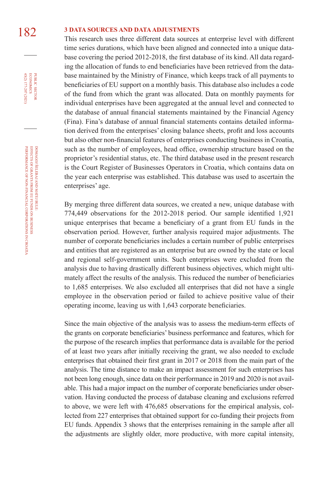### 182 **3 DATA SOURCES AND DATA ADJUSTMENTS**

This research uses three different data sources at enterprise level with different time series durations, which have been aligned and connected into a unique database covering the period 2012-2018, the first database of its kind. All data regarding the allocation of funds to end beneficiaries have been retrieved from the database maintained by the Ministry of Finance, which keeps track of all payments to beneficiaries of EU support on a monthly basis. This database also includes a code of the fund from which the grant was allocated. Data on monthly payments for individual enterprises have been aggregated at the annual level and connected to the database of annual financial statements maintained by the Financial Agency (Fina). Fina's database of annual financial statements contains detailed information derived from the enterprises' closing balance sheets, profit and loss accounts but also other non-financial features of enterprises conducting business in Croatia, such as the number of employees, head office, ownership structure based on the proprietor's residential status, etc. The third database used in the present research is the Court Register of Businesses Operators in Croatia, which contains data on the year each enterprise was established. This database was used to ascertain the enterprises' age.

By merging three different data sources, we created a new, unique database with 774,449 observations for the 2012-2018 period. Our sample identified 1,921 unique enterprises that became a beneficiary of a grant from EU funds in the observation period. However, further analysis required major adjustments. The number of corporate beneficiaries includes a certain number of public enterprises and entities that are registered as an enterprise but are owned by the state or local and regional self-government units. Such enterprises were excluded from the analysis due to having drastically different business objectives, which might ultimately affect the results of the analysis. This reduced the number of beneficiaries to 1,685 enterprises. We also excluded all enterprises that did not have a single employee in the observation period or failed to achieve positive value of their operating income, leaving us with 1,643 corporate beneficiaries.

Since the main objective of the analysis was to assess the medium-term effects of the grants on corporate beneficiaries' business performance and features, which for the purpose of the research implies that performance data is available for the period of at least two years after initially receiving the grant, we also needed to exclude enterprises that obtained their first grant in 2017 or 2018 from the main part of the analysis. The time distance to make an impact assessment for such enterprises has not been long enough, since data on their performance in 2019 and 2020 is not available. This had a major impact on the number of corporate beneficiaries under observation. Having conducted the process of database cleaning and exclusions referred to above, we were left with 476,685 observations for the empirical analysis, collected from 227 enterprises that obtained support for co-funding their projects from EU funds. Appendix 3 shows that the enterprises remaining in the sample after all the adjustments are slightly older, more productive, with more capital intensity,

45(2) 177-207 (2021) economics

PUBLIC SECTOR<br>ECONOMICS 45(2) 177-207 (2021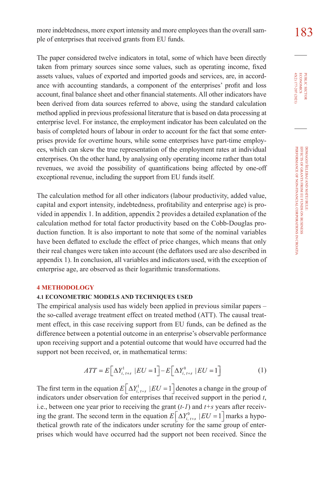more indebtedness, more export intensity and more employees than the overall sam-<br>
183 ple of enterprises that received grants from EU funds.

The paper considered twelve indicators in total, some of which have been directly taken from primary sources since some values, such as operating income, fixed assets values, values of exported and imported goods and services, are, in accordance with accounting standards, a component of the enterprises' profit and loss account, final balance sheet and other financial statements. All other indicators have been derived from data sources referred to above, using the standard calculation method applied in previous professional literature that is based on data processing at enterprise level. For instance, the employment indicator has been calculated on the basis of completed hours of labour in order to account for the fact that some enterprises provide for overtime hours, while some enterprises have part-time employees, which can skew the true representation of the employment rates at individual enterprises. On the other hand, by analysing only operating income rather than total revenues, we avoid the possibility of quantifications being affected by one-off exceptional revenue, including the support from EU funds itself.

The calculation method for all other indicators (labour productivity, added value, capital and export intensity, indebtedness, profitability and enterprise age) is provided in appendix 1. In addition, appendix 2 provides a detailed explanation of the calculation method for total factor productivity based on the Cobb-Douglas production function. It is also important to note that some of the nominal variables have been deflated to exclude the effect of price changes, which means that only their real changes were taken into account (the deflators used are also described in appendix 1). In conclusion, all variables and indicators used, with the exception of enterprise age, are observed as their logarithmic transformations.

#### **4 METHODOLOGY**

#### **4.1 ECONOMETRIC MODELS AND TECHNIQUES USED**

The empirical analysis used has widely been applied in previous similar papers – the so-called average treatment effect on treated method (ATT). The causal treatment effect, in this case receiving support from EU funds, can be defined as the difference between a potential outcome in an enterprise's observable performance upon receiving support and a potential outcome that would have occurred had the support not been received, or, in mathematical terms:

$$
ATT = E\left[\Delta Y_{i,t+s}^{1} \left| EU = 1\right.\right] - E\left[\Delta Y_{i,t+s}^{0} \left| EU = 1\right.\right]
$$
 (1)

The first term in the equation  $E[\Delta Y_{i,t+s}^1 | EU = 1]$  denotes a change in the group of indicators under observation for enterprises that received support in the period *t*, i.e., between one year prior to receiving the grant (*t-1*) and *t+s* years after receiving the grant. The second term in the equation  $E[\Delta Y_{i}]_{i,k}$   $|EU = 1]$  marks a hypothetical growth rate of the indicators under scrutiny for the same group of enterprises which would have occurred had the support not been received. Since the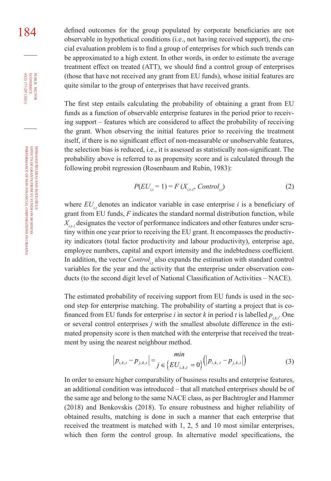184 defined outcomes for the group populated by corporate beneficiaries are not observable in hypothetical conditions (i.e., not having received support), the crucial evaluation problem is to find a group of enterprises for which such trends can be approximated to a high extent. In other words, in order to estimate the average treatment effect on treated (ATT), we should find a control group of enterprises (those that have not received any grant from EU funds), whose initial features are quite similar to the group of enterprises that have received grants.

> The first step entails calculating the probability of obtaining a grant from EU funds as a function of observable enterprise features in the period prior to receiving support – features which are considered to affect the probability of receiving the grant. When observing the initial features prior to receiving the treatment itself, if there is no significant effect of non-measurable or unobservable features, the selection bias is reduced, i.e., it is assessed as statistically non-significant. The probability above is referred to as propensity score and is calculated through the following probit regression (Rosenbaum and Rubin, 1983):

$$
P(EU_{i,t} = 1) = F(X_{i,t-1}, Control_{i,t})
$$
\n(2)

where  $EU_{i,t}$  denotes an indicator variable in case enterprise *i* is a beneficiary of grant from EU funds, *F* indicates the standard normal distribution function, while  $X_i$ , designates the vector of performance indicators and other features under scrutiny within one year prior to receiving the EU grant. It encompasses the productivity indicators (total factor productivity and labour productivity), enterprise age, employee numbers, capital and export intensity and the indebtedness coefficient. In addition, the vector *Control<sub>ic</sub>* also expands the estimation with standard control variables for the year and the activity that the enterprise under observation conducts (to the second digit level of National Classification of Activities – NACE).

The estimated probability of receiving support from EU funds is used in the second step for enterprise matching. The probability of starting a project that is cofinanced from EU funds for enterprise *i* in sector *k* in period *t* is labelled  $p_{ikt}$ . One or several control enterprises *j* with the smallest absolute difference in the estimated propensity score is then matched with the enterprise that received the treatment by using the nearest neighbour method.

$$
\left| p_{i,k,t} - p_{j,k,t} \right| = \min_{j \in \left\{ EU_{i,k,t} = 0 \right\}} \left( \left| p_{i,k,t} - p_{j,k,t} \right| \right) \tag{3}
$$

In order to ensure higher comparability of business results and enterprise features, an additional condition was introduced – that all matched enterprises should be of the same age and belong to the same NACE class, as per Bachtrogler and Hammer (2018) and Benkovskis (2018). To ensure robustness and higher reliability of obtained results, matching is done in such a manner that each enterprise that received the treatment is matched with 1, 2, 5 and 10 most similar enterprises, which then form the control group. In alternative model specifications, the

45(2) 177-207 (2021) economics

PUBLIC SECTOR<br>ECONOMICS 45(2) 177-207 (2021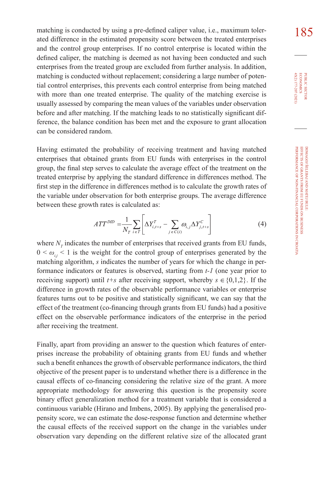matching is conducted by using a pre-defined caliper value, i.e., maximum toler-<br>185 ated difference in the estimated propensity score between the treated enterprises and the control group enterprises. If no control enterprise is located within the defined caliper, the matching is deemed as not having been conducted and such enterprises from the treated group are excluded from further analysis. In addition, matching is conducted without replacement; considering a large number of potential control enterprises, this prevents each control enterprise from being matched with more than one treated enterprise. The quality of the matching exercise is usually assessed by comparing the mean values of the variables under observation before and after matching. If the matching leads to no statistically significant difference, the balance condition has been met and the exposure to grant allocation can be considered random.

Having estimated the probability of receiving treatment and having matched enterprises that obtained grants from EU funds with enterprises in the control group, the final step serves to calculate the average effect of the treatment on the treated enterprise by applying the standard difference in differences method. The first step in the difference in differences method is to calculate the growth rates of the variable under observation for both enterprise groups. The average difference between these growth rates is calculated as:

$$
ATT^{DID} = \frac{1}{N_T} \sum_{i \in T} \left[ \Delta Y_{i,t+s}^T - \sum_{j \in C(i)} \omega_{i,j} \Delta Y_{j,t+s}^C \right]
$$
(4)

where  $N_T$  indicates the number of enterprises that received grants from EU funds,  $0 \leq \omega_{ij} \leq 1$  is the weight for the control group of enterprises generated by the matching algorithm, *s* indicates the number of years for which the change in performance indicators or features is observed, starting from *t-1* (one year prior to receiving support) until  $t+s$  after receiving support, whereby  $s \in \{0,1,2\}$ . If the difference in growth rates of the observable performance variables or enterprise features turns out to be positive and statistically significant, we can say that the effect of the treatment (co-financing through grants from EU funds) had a positive effect on the observable performance indicators of the enterprise in the period after receiving the treatment.

Finally, apart from providing an answer to the question which features of enterprises increase the probability of obtaining grants from EU funds and whether such a benefit enhances the growth of observable performance indicators, the third objective of the present paper is to understand whether there is a difference in the causal effects of co-financing considering the relative size of the grant. A more appropriate methodology for answering this question is the propensity score binary effect generalization method for a treatment variable that is considered a continuous variable (Hirano and Imbens, 2005). By applying the generalised propensity score, we can estimate the dose-response function and determine whether the causal effects of the received support on the change in the variables under observation vary depending on the different relative size of the allocated grant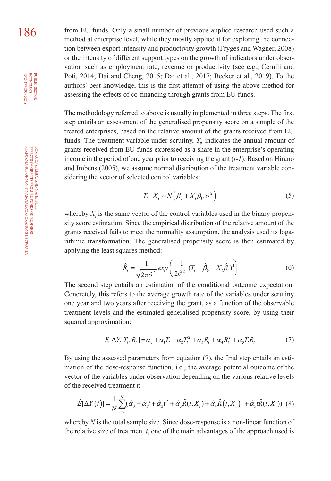186 from EU funds. Only a small number of previous applied research used such a method at enterprise level, while they mostly applied it for exploring the connection between export intensity and productivity growth (Fryges and Wagner, 2008) or the intensity of different support types on the growth of indicators under observation such as employment rate, revenue or productivity (see e.g., Cerulli and Poti, 2014; Dai and Cheng, 2015; Dai et al., 2017; Becker et al., 2019). To the authors' best knowledge, this is the first attempt of using the above method for assessing the effects of co-financing through grants from EU funds.

> The methodology referred to above is usually implemented in three steps. The first step entails an assessment of the generalised propensity score on a sample of the treated enterprises, based on the relative amount of the grants received from EU funds. The treatment variable under scrutiny,  $T_i$ , indicates the annual amount of grants received from EU funds expressed as a share in the enterprise's operating income in the period of one year prior to receiving the grant (*t-1*). Based on Hirano and Imbens (2005), we assume normal distribution of the treatment variable considering the vector of selected control variables:

$$
T_i \mid X_i \sim N\left(\beta_0 + X_i\beta_1, \sigma^2\right) \tag{5}
$$

whereby  $X_i$  is the same vector of the control variables used in the binary propensity score estimation. Since the empirical distribution of the relative amount of the grants received fails to meet the normality assumption, the analysis used its logarithmic transformation. The generalised propensity score is then estimated by applying the least squares method:

$$
\hat{R}_i = \frac{1}{\sqrt{2\pi\hat{\sigma}^2}} \exp\left(\frac{1}{2\hat{\sigma}^2} \left(T_i - \hat{\beta}_0 - X_i\hat{\beta}_1\right)^2\right) \tag{6}
$$

The second step entails an estimation of the conditional outcome expectation. Concretely, this refers to the average growth rate of the variables under scrutiny one year and two years after receiving the grant, as a function of the observable treatment levels and the estimated generalised propensity score, by using their squared approximation:

$$
E[\Delta Y_i | T_i, R_i] = \alpha_0 + \alpha_1 T_i + \alpha_2 T_i^2 + \alpha_3 R_i + \alpha_4 R_i^2 + \alpha_5 T_i R_i \tag{7}
$$

By using the assessed parameters from equation (7), the final step entails an estimation of the dose-response function, i.e., the average potential outcome of the vector of the variables under observation depending on the various relative levels of the received treatment *t*:

$$
\hat{E}[\Delta Y(t)] = \frac{1}{N} \sum_{i=1}^{N} (\hat{\alpha}_0 + \hat{\alpha}_1 t + \hat{\alpha}_2 t^2 + \hat{\alpha}_3 \hat{R}(t, X_i) + \hat{\alpha}_4 \hat{R}(t, X_i)^2 + \hat{\alpha}_5 t \hat{R}(t, X_i))
$$
(8)

whereby *N* is the total sample size. Since dose-response is a non-linear function of the relative size of treatment  $t$ , one of the main advantages of the approach used is

45(2) 177-207 (2021) economics

**PUBLIC SECTOR<br>ECONOMICS<br>45(2) 177-207 (2021)**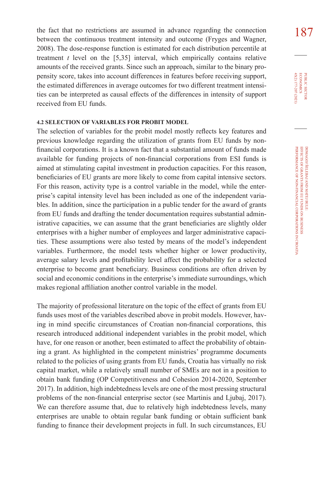the fact that no restrictions are assumed in advance regarding the connection  $187$ between the continuous treatment intensity and outcome (Fryges and Wagner, 2008). The dose-response function is estimated for each distribution percentile at treatment  $t$  level on the  $[5,35]$  interval, which empirically contains relative amounts of the received grants. Since such an approach, similar to the binary propensity score, takes into account differences in features before receiving support, the estimated differences in average outcomes for two different treatment intensities can be interpreted as causal effects of the differences in intensity of support received from EU funds.

#### **4.2 SELECTION OF VARIABLES FOR PROBIT MODEL**

The selection of variables for the probit model mostly reflects key features and previous knowledge regarding the utilization of grants from EU funds by nonfinancial corporations. It is a known fact that a substantial amount of funds made available for funding projects of non-financial corporations from ESI funds is aimed at stimulating capital investment in production capacities. For this reason, beneficiaries of EU grants are more likely to come from capital intensive sectors. For this reason, activity type is a control variable in the model, while the enterprise's capital intensity level has been included as one of the independent variables. In addition, since the participation in a public tender for the award of grants from EU funds and drafting the tender documentation requires substantial administrative capacities, we can assume that the grant beneficiaries are slightly older enterprises with a higher number of employees and larger administrative capacities. These assumptions were also tested by means of the model's independent variables. Furthermore, the model tests whether higher or lower productivity, average salary levels and profitability level affect the probability for a selected enterprise to become grant beneficiary. Business conditions are often driven by social and economic conditions in the enterprise's immediate surroundings, which makes regional affiliation another control variable in the model.

The majority of professional literature on the topic of the effect of grants from EU funds uses most of the variables described above in probit models. However, having in mind specific circumstances of Croatian non-financial corporations, this research introduced additional independent variables in the probit model, which have, for one reason or another, been estimated to affect the probability of obtaining a grant. As highlighted in the competent ministries' programme documents related to the policies of using grants from EU funds, Croatia has virtually no risk capital market, while a relatively small number of SMEs are not in a position to obtain bank funding (OP Competitiveness and Cohesion 2014-2020, September 2017). In addition, high indebtedness levels are one of the most pressing structural problems of the non-financial enterprise sector (see Martinis and Ljubaj, 2017). We can therefore assume that, due to relatively high indebtedness levels, many enterprises are unable to obtain regular bank funding or obtain sufficient bank funding to finance their development projects in full. In such circumstances, EU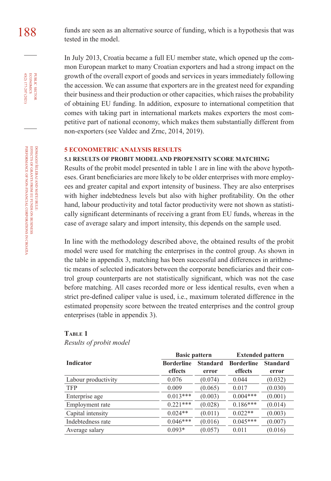188 funds are seen as an alternative source of funding, which is a hypothesis that was tested in the model.

> In July 2013, Croatia became a full EU member state, which opened up the common European market to many Croatian exporters and had a strong impact on the growth of the overall export of goods and services in years immediately following the accession. We can assume that exporters are in the greatest need for expanding their business and their production or other capacities, which raises the probability of obtaining EU funding. In addition, exposure to international competition that comes with taking part in international markets makes exporters the most competitive part of national economy, which makes them substantially different from non-exporters (see Valdec and Zrnc, 2014, 2019).

#### **5 ECONOMETRIC ANALYSIS RESULTS**

#### **5.1 RESULTS OF PROBIT MODEL AND PROPENSITY SCORE MATCHING**

Results of the probit model presented in table 1 are in line with the above hypotheses. Grant beneficiaries are more likely to be older enterprises with more employees and greater capital and export intensity of business. They are also enterprises with higher indebtedness levels but also with higher profitability. On the other hand, labour productivity and total factor productivity were not shown as statistically significant determinants of receiving a grant from EU funds, whereas in the case of average salary and import intensity, this depends on the sample used.

In line with the methodology described above, the obtained results of the probit model were used for matching the enterprises in the control group. As shown in the table in appendix 3, matching has been successful and differences in arithmetic means of selected indicators between the corporate beneficiaries and their control group counterparts are not statistically significant, which was not the case before matching. All cases recorded more or less identical results, even when a strict pre-defined caliper value is used, i.e., maximum tolerated difference in the estimated propensity score between the treated enterprises and the control group enterprises (table in appendix 3).

#### **Table 1**

*Results of probit model*

|                     | <b>Basic pattern</b>         |                          | <b>Extended pattern</b>      |                          |
|---------------------|------------------------------|--------------------------|------------------------------|--------------------------|
| <b>Indicator</b>    | <b>Borderline</b><br>effects | <b>Standard</b><br>error | <b>Borderline</b><br>effects | <b>Standard</b><br>error |
| Labour productivity | 0.076                        | (0.074)                  | 0.044                        | (0.032)                  |
| <b>TFP</b>          | 0.009                        | (0.065)                  | 0.017                        | (0.030)                  |
| Enterprise age      | $0.013***$                   | (0.003)                  | $0.004***$                   | (0.001)                  |
| Employment rate     | $0.221***$                   | (0.028)                  | $0.186***$                   | (0.014)                  |
| Capital intensity   | $0.024**$                    | (0.011)                  | $0.022**$                    | (0.003)                  |
| Indebtedness rate   | $0.046***$                   | (0.016)                  | $0.045***$                   | (0.007)                  |
| Average salary      | $0.093*$                     | (0.057)                  | 0.011                        | (0.016)                  |

45(2) 177-207 (2021) economics

PUBLIC SECTOR<br>ECONOMICS 45(2) 177-207 (2021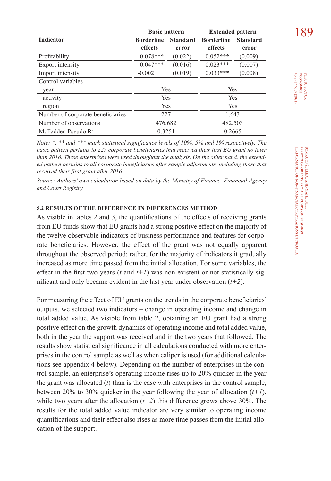|                                   | <b>Basic pattern</b> |                 | <b>Extended pattern</b> |                 |
|-----------------------------------|----------------------|-----------------|-------------------------|-----------------|
| <b>Indicator</b>                  | <b>Borderline</b>    | <b>Standard</b> | <b>Borderline</b>       | <b>Standard</b> |
|                                   | effects              | error           | effects                 | error           |
| Profitability                     | $0.078***$           | (0.022)         | $0.052***$              | (0.009)         |
| Export intensity                  | $0.047***$           | (0.016)         | $0.023***$              | (0.007)         |
| Import intensity                  | $-0.002$             | (0.019)         | $0.033***$              | (0.008)         |
| Control variables                 |                      |                 |                         |                 |
| year                              | Yes                  |                 | Yes                     |                 |
| activity                          | Yes                  |                 | Yes                     |                 |
| region                            | Yes                  |                 | Yes                     |                 |
| Number of corporate beneficiaries | 227                  |                 | 1,643                   |                 |
| Number of observations            | 476,682              |                 | 482,503                 |                 |
| McFadden Pseudo $R^2$             | 0.3251               |                 | 0.2665                  |                 |

*Note: \*, \*\* and \*\*\* mark statistical significance levels of 10%, 5% and 1% respectively. The basic pattern pertains to 227 corporate beneficiaries that received their first EU grant no later than 2016. These enterprises were used throughout the analysis. On the other hand, the extended pattern pertains to all corporate beneficiaries after sample adjustments, including those that received their first grant after 2016.*

*Source: Authors' own calculation based on data by the Ministry of Finance, Financial Agency and Court Registry.*

#### **5.2 RESULTS OF THE DIFFERENCE IN DIFFERENCES METHOD**

As visible in tables 2 and 3, the quantifications of the effects of receiving grants from EU funds show that EU grants had a strong positive effect on the majority of the twelve observable indicators of business performance and features for corporate beneficiaries. However, the effect of the grant was not equally apparent throughout the observed period; rather, for the majority of indicators it gradually increased as more time passed from the initial allocation. For some variables, the effect in the first two years  $(t \text{ and } t+1)$  was non-existent or not statistically significant and only became evident in the last year under observation (*t+2*).

For measuring the effect of EU grants on the trends in the corporate beneficiaries' outputs, we selected two indicators – change in operating income and change in total added value. As visible from table 2, obtaining an EU grant had a strong positive effect on the growth dynamics of operating income and total added value, both in the year the support was received and in the two years that followed. The results show statistical significance in all calculations conducted with more enterprises in the control sample as well as when caliper is used (for additional calculations see appendix 4 below). Depending on the number of enterprises in the control sample, an enterprise's operating income rises up to 20% quicker in the year the grant was allocated (*t*) than is the case with enterprises in the control sample, between 20% to 30% quicker in the year following the year of allocation  $(t+1)$ , while two years after the allocation  $(t+2)$  this difference grows above 30%. The results for the total added value indicator are very similar to operating income quantifications and their effect also rises as more time passes from the initial allocation of the support.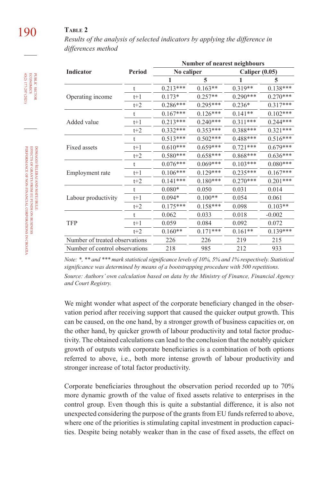### 190 **Table 2**

*Results of the analysis of selected indicators by applying the difference in differences method*

|                                |              |            | <b>Number of nearest neighbours</b> |                  |            |
|--------------------------------|--------------|------------|-------------------------------------|------------------|------------|
| Indicator                      | Period       | No caliper |                                     | Caliper $(0.05)$ |            |
|                                |              | 1          | 5                                   |                  | 5          |
|                                | $^{\dagger}$ | $0.213***$ | $0.163**$                           | $0.319**$        | $0.138***$ |
| Operating income               | $t+1$        | $0.173*$   | $0.257**$                           | $0.290***$       | $0.270***$ |
|                                | $t+2$        | $0.286***$ | $0.295***$                          | $0.236*$         | $0.317***$ |
|                                | $\mathsf{t}$ | $0.167***$ | $0.126***$                          | $0.141**$        | $0.102***$ |
| Added value                    | $t+1$        | $0.213***$ | $0.240***$                          | $0.311***$       | $0.244***$ |
|                                | $t+2$        | $0.332***$ | $0.353***$                          | $0.388***$       | $0.321***$ |
|                                | ŧ            | $0.513***$ | $0.502***$                          | 0.488***         | $0.516***$ |
| Fixed assets                   | $t+1$        | $0.610***$ | $0.659***$                          | $0.721***$       | $0.679***$ |
|                                | $t+2$        | $0.580***$ | $0.658***$                          | $0.868***$       | $0.636***$ |
|                                | t            | $0.076***$ | $0.069***$                          | $0.103***$       | $0.080***$ |
| Employment rate                | $t+1$        | $0.106***$ | $0.129***$                          | $0.235***$       | $0.167***$ |
|                                | $t+2$        | $0.141***$ | $0.180***$                          | $0.270***$       | $0.201***$ |
|                                | t            | $0.080*$   | 0.050                               | 0.031            | 0.014      |
| Labour productivity            | $t+1$        | $0.094*$   | $0.100**$                           | 0.054            | 0.061      |
|                                | $t+2$        | $0.175***$ | $0.158***$                          | 0.098            | $0.103**$  |
|                                | t            | 0.062      | 0.033                               | 0.018            | $-0.002$   |
| TFP                            | $t+1$        | 0.059      | 0.084                               | 0.092            | 0.072      |
|                                | $t+2$        | $0.160**$  | $0.171***$                          | $0.161**$        | $0.139***$ |
| Number of treated observations |              | 226        | 226                                 | 219              | 215        |
| Number of control observations |              | 218        | 985                                 | 212              | 933        |

*Note: \*, \*\* and \*\*\* mark statistical significance levels of 10%, 5% and 1% respectively. Statistical significance was determined by means of a bootstrapping procedure with 500 repetitions. Source: Authors' own calculation based on data by the Ministry of Finance, Financial Agency and Court Registry.*

We might wonder what aspect of the corporate beneficiary changed in the observation period after receiving support that caused the quicker output growth. This can be caused, on the one hand, by a stronger growth of business capacities or, on the other hand, by quicker growth of labour productivity and total factor productivity. The obtained calculations can lead to the conclusion that the notably quicker growth of outputs with corporate beneficiaries is a combination of both options referred to above, i.e., both more intense growth of labour productivity and stronger increase of total factor productivity.

Corporate beneficiaries throughout the observation period recorded up to 70% more dynamic growth of the value of fixed assets relative to enterprises in the control group. Even though this is quite a substantial difference, it is also not unexpected considering the purpose of the grants from EU funds referred to above, where one of the priorities is stimulating capital investment in production capacities. Despite being notably weaker than in the case of fixed assets, the effect on

45(2) 177-207 (2021) economics

PUBLIC SECTOR<br>ECONOMICS 45(2) 177-207 (2021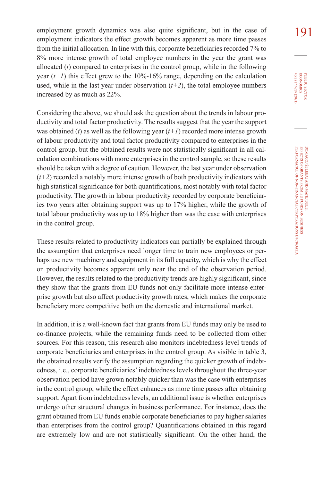employment growth dynamics was also quite significant, but in the case of 191 employment indicators the effect growth becomes apparent as more time passes from the initial allocation. In line with this, corporate beneficiaries recorded 7% to 8% more intense growth of total employee numbers in the year the grant was allocated (*t*) compared to enterprises in the control group, while in the following year  $(t+1)$  this effect grew to the 10%-16% range, depending on the calculation used, while in the last year under observation  $(t+2)$ , the total employee numbers increased by as much as 22%.

Considering the above, we should ask the question about the trends in labour productivity and total factor productivity. The results suggest that the year the support was obtained (*t*) as well as the following year (*t+1*) recorded more intense growth of labour productivity and total factor productivity compared to enterprises in the control group, but the obtained results were not statistically significant in all calculation combinations with more enterprises in the control sample, so these results should be taken with a degree of caution. However, the last year under observation  $(t+2)$  recorded a notably more intense growth of both productivity indicators with high statistical significance for both quantifications, most notably with total factor productivity. The growth in labour productivity recorded by corporate beneficiaries two years after obtaining support was up to 17% higher, while the growth of total labour productivity was up to 18% higher than was the case with enterprises in the control group.

These results related to productivity indicators can partially be explained through the assumption that enterprises need longer time to train new employees or perhaps use new machinery and equipment in its full capacity, which is why the effect on productivity becomes apparent only near the end of the observation period. However, the results related to the productivity trends are highly significant, since they show that the grants from EU funds not only facilitate more intense enterprise growth but also affect productivity growth rates, which makes the corporate beneficiary more competitive both on the domestic and international market.

In addition, it is a well-known fact that grants from EU funds may only be used to co-finance projects, while the remaining funds need to be collected from other sources. For this reason, this research also monitors indebtedness level trends of corporate beneficiaries and enterprises in the control group. As visible in table 3, the obtained results verify the assumption regarding the quicker growth of indebtedness, i.e., corporate beneficiaries' indebtedness levels throughout the three-year observation period have grown notably quicker than was the case with enterprises in the control group, while the effect enhances as more time passes after obtaining support. Apart from indebtedness levels, an additional issue is whether enterprises undergo other structural changes in business performance. For instance, does the grant obtained from EU funds enable corporate beneficiaries to pay higher salaries than enterprises from the control group? Quantifications obtained in this regard are extremely low and are not statistically significant. On the other hand, the 45(2) 177-207 (2021) **ECONOMICS** PUBLIC SECTOR 45(2) 177-207 (2021) economics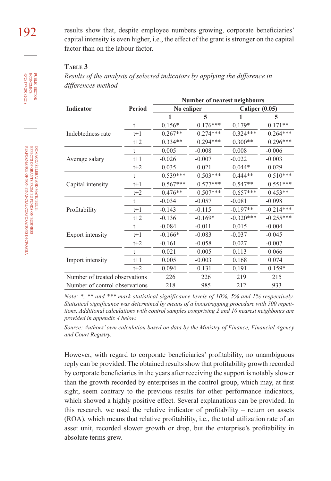192 results show that, despite employee numbers growing, corporate beneficiaries' capital intensity is even higher, i.e., the effect of the grant is stronger on the capital factor than on the labour factor.

#### **Table 3**

*Results of the analysis of selected indicators by applying the difference in differences method*

|                                |               |            | Number of nearest neighbours |                       |             |
|--------------------------------|---------------|------------|------------------------------|-----------------------|-------------|
| Indicator                      | <b>Period</b> | No caliper |                              | <b>Caliper (0.05)</b> |             |
|                                |               |            | 5                            |                       | 5           |
|                                | $\mathbf t$   | $0.156*$   | $0.176***$                   | $0.179*$              | $0.171**$   |
| Indebtedness rate              | $t+1$         | $0.267**$  | $0.274***$                   | $0.324***$            | $0.264***$  |
|                                | $t+2$         | $0.334**$  | $0.294***$                   | $0.300**$             | $0.296***$  |
|                                | t             | 0.005      | $-0.008$                     | 0.008                 | $-0.006$    |
| Average salary                 | $t+1$         | $-0.026$   | $-0.007$                     | $-0.022$              | $-0.003$    |
|                                | $t+2$         | 0.035      | 0.021                        | $0.044*$              | 0.029       |
|                                | ŧ             | 0.539***   | $0.503***$                   | $0.444**$             | $0.510***$  |
| Capital intensity              | $t+1$         | $0.567***$ | $0.577***$                   | $0.547**$             | $0.551***$  |
|                                | $t+2$         | $0.476**$  | $0.507***$                   | $0.657***$            | $0.453**$   |
|                                | t             | $-0.034$   | $-0.057$                     | $-0.081$              | $-0.098$    |
| Profitability                  | $t+1$         | $-0.143$   | $-0.115$                     | $-0.197**$            | $-0.214***$ |
|                                | $t+2$         | $-0.136$   | $-0.169*$                    | $-0.320***$           | $-0.255***$ |
|                                | t             | $-0.084$   | $-0.011$                     | 0.015                 | $-0.004$    |
| Export intensity               | $t+1$         | $-0.166*$  | $-0.083$                     | $-0.037$              | $-0.045$    |
|                                | $t+2$         | $-0.161$   | $-0.058$                     | 0.027                 | $-0.007$    |
|                                | t             | 0.021      | 0.005                        | 0.113                 | 0.066       |
| Import intensity               | $t+1$         | 0.005      | $-0.003$                     | 0.168                 | 0.074       |
|                                | $t+2$         | 0.094      | 0.131                        | 0.191                 | $0.159*$    |
| Number of treated observations |               | 226        | 226                          | 219                   | 215         |
| Number of control observations |               | 218        | 985                          | 212                   | 933         |

*Note: \*, \*\* and \*\*\* mark statistical significance levels of 10%, 5% and 1% respectively. Statistical significance was determined by means of a bootstrapping procedure with 500 repetitions. Additional calculations with control samples comprising 2 and 10 nearest neighbours are provided in appendix 4 below.*

*Source: Authors' own calculation based on data by the Ministry of Finance, Financial Agency and Court Registry.*

However, with regard to corporate beneficiaries' profitability, no unambiguous reply can be provided. The obtained results show that profitability growth recorded by corporate beneficiaries in the years after receiving the support is notably slower than the growth recorded by enterprises in the control group, which may, at first sight, seem contrary to the previous results for other performance indicators, which showed a highly positive effect. Several explanations can be provided. In this research, we used the relative indicator of profitability – return on assets (ROA), which means that relative profitability, i.e., the total utilization rate of an asset unit, recorded slower growth or drop, but the enterprise's profitability in absolute terms grew.

45(2) 177-207 (2021) economics

PUBLIC SECTOR<br>ECONOMICS 45(2) 177-207 (2021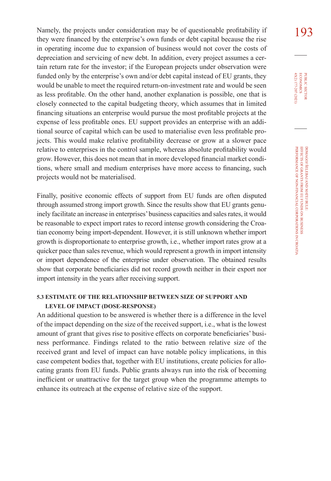Namely, the projects under consideration may be of questionable profitability if 193 they were financed by the enterprise's own funds or debt capital because the rise in operating income due to expansion of business would not cover the costs of depreciation and servicing of new debt. In addition, every project assumes a certain return rate for the investor; if the European projects under observation were funded only by the enterprise's own and/or debt capital instead of EU grants, they would be unable to meet the required return-on-investment rate and would be seen as less profitable. On the other hand, another explanation is possible, one that is closely connected to the capital budgeting theory, which assumes that in limited financing situations an enterprise would pursue the most profitable projects at the expense of less profitable ones. EU support provides an enterprise with an additional source of capital which can be used to materialise even less profitable projects. This would make relative profitability decrease or grow at a slower pace relative to enterprises in the control sample, whereas absolute profitability would grow. However, this does not mean that in more developed financial market conditions, where small and medium enterprises have more access to financing, such projects would not be materialised.

Finally, positive economic effects of support from EU funds are often disputed through assumed strong import growth. Since the results show that EU grants genuinely facilitate an increase in enterprises' business capacities and sales rates, it would be reasonable to expect import rates to record intense growth considering the Croatian economy being import-dependent. However, it is still unknown whether import growth is disproportionate to enterprise growth, i.e., whether import rates grow at a quicker pace than sales revenue, which would represent a growth in import intensity or import dependence of the enterprise under observation. The obtained results show that corporate beneficiaries did not record growth neither in their export nor import intensity in the years after receiving support.

#### **5.3 ESTIMATE OF THE RELATIONSHIP BETWEEN SIZE OF SUPPORT AND LEVEL OF IMPACT (DOSE-RESPONSE)**

An additional question to be answered is whether there is a difference in the level of the impact depending on the size of the received support, i.e., what is the lowest amount of grant that gives rise to positive effects on corporate beneficiaries' business performance. Findings related to the ratio between relative size of the received grant and level of impact can have notable policy implications, in this case competent bodies that, together with EU institutions, create policies for allocating grants from EU funds. Public grants always run into the risk of becoming inefficient or unattractive for the target group when the programme attempts to enhance its outreach at the expense of relative size of the support.

PUBLIC SECTOR<br>ECONOMICS 45(2) 177-207 (2021) 45(2) 177-207 (2021) economics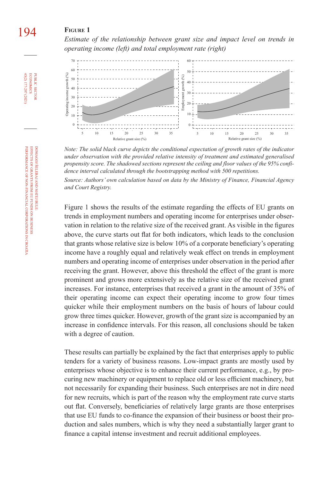### 194 **Figure 1**

*Estimate of the relationship between grant size and impact level on trends in operating income (left) and total employment rate (right)*



*Note: The solid black curve depicts the conditional expectation of growth rates of the indicator under observation with the provided relative intensity of treatment and estimated generalised propensity score. The shadowed sections represent the ceiling and floor values of the 95% confidence interval calculated through the bootstrapping method with 500 repetitions.*

*Source: Authors' own calculation based on data by the Ministry of Finance, Financial Agency and Court Registry.*

Figure 1 shows the results of the estimate regarding the effects of EU grants on trends in employment numbers and operating income for enterprises under observation in relation to the relative size of the received grant. As visible in the figures above, the curve starts out flat for both indicators, which leads to the conclusion that grants whose relative size is below 10% of a corporate beneficiary's operating income have a roughly equal and relatively weak effect on trends in employment numbers and operating income of enterprises under observation in the period after receiving the grant. However, above this threshold the effect of the grant is more prominent and grows more extensively as the relative size of the received grant increases. For instance, enterprises that received a grant in the amount of 35% of their operating income can expect their operating income to grow four times quicker while their employment numbers on the basis of hours of labour could grow three times quicker. However, growth of the grant size is accompanied by an increase in confidence intervals. For this reason, all conclusions should be taken with a degree of caution.

These results can partially be explained by the fact that enterprises apply to public tenders for a variety of business reasons. Low-impact grants are mostly used by enterprises whose objective is to enhance their current performance, e.g., by procuring new machinery or equipment to replace old or less efficient machinery, but not necessarily for expanding their business. Such enterprises are not in dire need for new recruits, which is part of the reason why the employment rate curve starts out flat. Conversely, beneficiaries of relatively large grants are those enterprises that use EU funds to co-finance the expansion of their business or boost their production and sales numbers, which is why they need a substantially larger grant to finance a capital intense investment and recruit additional employees.

45(2) 177-207 (2021) economics

45(2) 177-207 (2021) PUBLIC SECTOR

**ECONOMICS**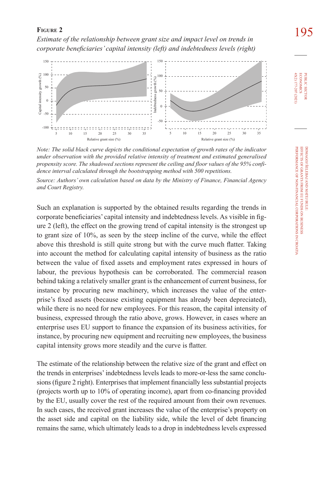**FIGURE 2 195**<br>*Estimate of the relationship between grant size and impact level on trends in corporate beneficiaries' capital intensity (left) and indebtedness levels (right)*



*Note: The solid black curve depicts the conditional expectation of growth rates of the indicator under observation with the provided relative intensity of treatment and estimated generalised propensity score. The shadowed sections represent the ceiling and floor values of the 95% confidence interval calculated through the bootstrapping method with 500 repetitions.*

*Source: Authors' own calculation based on data by the Ministry of Finance, Financial Agency and Court Registry.*

Such an explanation is supported by the obtained results regarding the trends in corporate beneficiaries' capital intensity and indebtedness levels. As visible in figure 2 (left), the effect on the growing trend of capital intensity is the strongest up to grant size of 10%, as seen by the steep incline of the curve, while the effect above this threshold is still quite strong but with the curve much flatter. Taking into account the method for calculating capital intensity of business as the ratio between the value of fixed assets and employment rates expressed in hours of labour, the previous hypothesis can be corroborated. The commercial reason behind taking a relatively smaller grant is the enhancement of current business, for instance by procuring new machinery, which increases the value of the enterprise's fixed assets (because existing equipment has already been depreciated), while there is no need for new employees. For this reason, the capital intensity of business, expressed through the ratio above, grows. However, in cases where an enterprise uses EU support to finance the expansion of its business activities, for instance, by procuring new equipment and recruiting new employees, the business capital intensity grows more steadily and the curve is flatter.

The estimate of the relationship between the relative size of the grant and effect on the trends in enterprises' indebtedness levels leads to more-or-less the same conclusions (figure 2 right). Enterprises that implement financially less substantial projects (projects worth up to 10% of operating income), apart from co-financing provided by the EU, usually cover the rest of the required amount from their own revenues. In such cases, the received grant increases the value of the enterprise's property on the asset side and capital on the liability side, while the level of debt financing remains the same, which ultimately leads to a drop in indebtedness levels expressed 45(2) 177-207 (2021) economics

45(2) 177-207 (2021) **ECONOMICS** PUBLIC SECTOR

> PERFORMANCE OF NON-FINANCIAL CORPORATIONS IN CROATIA EFFECTS OF GRANTS FROM EU FUNDS ON BUSINESS

PERFORMANCE OF NON-FINANCIAL CORPORATIONS IN CROATIA DOMAGOJ ŜELEBAJ AND MATEJ BULE:<br>EFFECTS OF GRANTS FROM EU FUNDS ON BUSINESS

DOMAGOJ ŠELEBAJ AND MATEJ BULE: public sector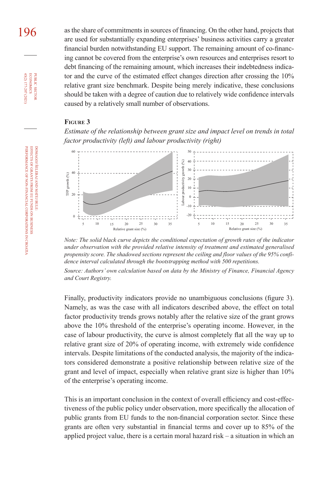196 as the share of commitments in sources of financing. On the other hand, projects that are used for substantially expanding enterprises' business activities carry a greater financial burden notwithstanding EU support. The remaining amount of co-financing cannot be covered from the enterprise's own resources and enterprises resort to debt financing of the remaining amount, which increases their indebtedness indicator and the curve of the estimated effect changes direction after crossing the 10% relative grant size benchmark. Despite being merely indicative, these conclusions should be taken with a degree of caution due to relatively wide confidence intervals caused by a relatively small number of observations.

#### **Figure 3**





*Note: The solid black curve depicts the conditional expectation of growth rates of the indicator under observation with the provided relative intensity of treatment and estimated generalised propensity score. The shadowed sections represent the ceiling and floor values of the 95% confidence interval calculated through the bootstrapping method with 500 repetitions.*

*Source: Authors' own calculation based on data by the Ministry of Finance, Financial Agency and Court Registry.*

Finally, productivity indicators provide no unambiguous conclusions (figure 3). Namely, as was the case with all indicators described above, the effect on total factor productivity trends grows notably after the relative size of the grant grows above the 10% threshold of the enterprise's operating income. However, in the case of labour productivity, the curve is almost completely flat all the way up to relative grant size of 20% of operating income, with extremely wide confidence intervals. Despite limitations of the conducted analysis, the majority of the indicators considered demonstrate a positive relationship between relative size of the grant and level of impact, especially when relative grant size is higher than 10% of the enterprise's operating income.

This is an important conclusion in the context of overall efficiency and cost-effectiveness of the public policy under observation, more specifically the allocation of public grants from EU funds to the non-financial corporation sector. Since these grants are often very substantial in financial terms and cover up to 85% of the applied project value, there is a certain moral hazard risk – a situation in which an

45(2) 177-207 (2021) economics

**ECONOMICS** PUBLIC SECTOR 45(2) 177-207 (2021)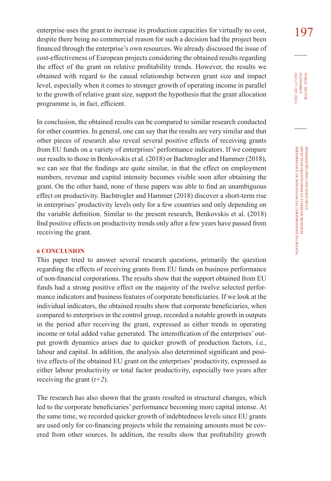enterprise uses the grant to increase its production capacities for virtually no cost,  $197$ despite there being no commercial reason for such a decision had the project been financed through the enterprise's own resources. We already discussed the issue of cost-effectiveness of European projects considering the obtained results regarding the effect of the grant on relative profitability trends. However, the results we obtained with regard to the causal relationship between grant size and impact level, especially when it comes to stronger growth of operating income in parallel to the growth of relative grant size, support the hypothesis that the grant allocation programme is, in fact, efficient.

In conclusion, the obtained results can be compared to similar research conducted for other countries. In general, one can say that the results are very similar and that other pieces of research also reveal several positive effects of receiving grants from EU funds on a variety of enterprises' performance indicators. If we compare our results to those in Benkovskis et al. (2018) or Bachtrogler and Hammer (2018), we can see that the findings are quite similar, in that the effect on employment numbers, revenue and capital intensity becomes visible soon after obtaining the grant. On the other hand, none of these papers was able to find an unambiguous effect on productivity. Bachtrogler and Hammer (2018) discover a short-term rise in enterprises' productivity levels only for a few countries and only depending on the variable definition. Similar to the present research, Benkovskis et al. (2018) find positive effects on productivity trends only after a few years have passed from receiving the grant.

#### **6 CONCLUSION**

This paper tried to answer several research questions, primarily the question regarding the effects of receiving grants from EU funds on business performance of non-financial corporations. The results show that the support obtained from EU funds had a strong positive effect on the majority of the twelve selected performance indicators and business features of corporate beneficiaries. If we look at the individual indicators, the obtained results show that corporate beneficiaries, when compared to enterprises in the control group, recorded a notable growth in outputs in the period after receiving the grant, expressed as either trends in operating income or total added value generated. The intensification of the enterprises' output growth dynamics arises due to quicker growth of production factors, i.e., labour and capital. In addition, the analysis also determined significant and positive effects of the obtained EU grant on the enterprises' productivity, expressed as either labour productivity or total factor productivity, especially two years after receiving the grant (*t+2*).

The research has also shown that the grants resulted in structural changes, which led to the corporate beneficiaries' performance becoming more capital intense. At the same time, we recorded quicker growth of indebtedness levels since EU grants are used only for co-financing projects while the remaining amounts must be covered from other sources. In addition, the results show that profitability growth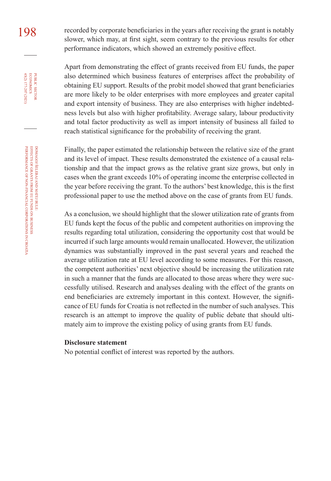198 recorded by corporate beneficiaries in the years after receiving the grant is notably slower, which may, at first sight, seem contrary to the previous results for other performance indicators, which showed an extremely positive effect.

> Apart from demonstrating the effect of grants received from EU funds, the paper also determined which business features of enterprises affect the probability of obtaining EU support. Results of the probit model showed that grant beneficiaries are more likely to be older enterprises with more employees and greater capital and export intensity of business. They are also enterprises with higher indebtedness levels but also with higher profitability. Average salary, labour productivity and total factor productivity as well as import intensity of business all failed to reach statistical significance for the probability of receiving the grant.

> Finally, the paper estimated the relationship between the relative size of the grant and its level of impact. These results demonstrated the existence of a causal relationship and that the impact grows as the relative grant size grows, but only in cases when the grant exceeds 10% of operating income the enterprise collected in the year before receiving the grant. To the authors' best knowledge, this is the first professional paper to use the method above on the case of grants from EU funds.

> As a conclusion, we should highlight that the slower utilization rate of grants from EU funds kept the focus of the public and competent authorities on improving the results regarding total utilization, considering the opportunity cost that would be incurred if such large amounts would remain unallocated. However, the utilization dynamics was substantially improved in the past several years and reached the average utilization rate at EU level according to some measures. For this reason, the competent authorities' next objective should be increasing the utilization rate in such a manner that the funds are allocated to those areas where they were successfully utilised. Research and analyses dealing with the effect of the grants on end beneficiaries are extremely important in this context. However, the significance of EU funds for Croatia is not reflected in the number of such analyses. This research is an attempt to improve the quality of public debate that should ultimately aim to improve the existing policy of using grants from EU funds.

#### **Disclosure statement**

No potential conflict of interest was reported by the authors.

45(2) 177-207 (2021) economics

PUBLIC SECTOR<br>ECONOMICS 45(2) 177-207 (2021)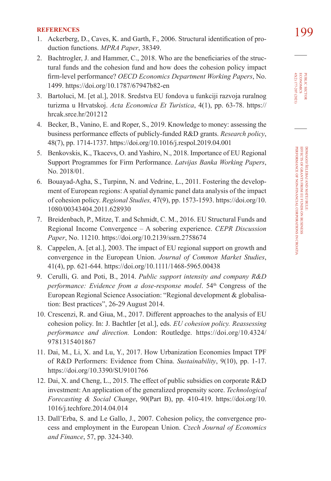- **REFERENCES**<br>1. Ackerberg, D., Caves, K. and Garth, F., 2006. Structural identification of pro-<br>**199** duction functions. *[MPRA Paper](https://mpra.ub.uni-muenchen.de/38349/1/MPRA_paper_38349.pdf)*, 38349.
- 2. Bachtrogler, J. and Hammer, C., 2018. Who are the beneficiaries of the structural funds and the cohesion fund and how does the cohesion policy impact firm-level performance? *OECD Economics Department Working Papers*, No. 1499. <https://doi.org/10.1787/67947b82-en>
- 3. Bartoluci, M. [et al.], 2018. Sredstva EU fondova u funkciji razvoja ruralnog turizma u Hrvatskoj. *Acta Economica Et Turistica*, 4(1), pp. 63-78. [https://](https://hrcak.srce.hr/201212) [hrcak.srce.hr/201212](https://hrcak.srce.hr/201212)
- 4. Becker, B., Vanino, E. and Roper, S., 2019. Knowledge to money: assessing the business performance effects of publicly-funded R&D grants. *Research policy*, 48(7), pp. 1714-1737.<https://doi.org/10.1016/j.respol.2019.04.001>
- 5. Benkovskis, K., Tkacevs, O. and Yashiro, N., 2018. Importance of EU Regional Support Programmes for Firm Performance. *[Latvijas Banka Working Papers](https://www.bank.lv/images/stories/pielikumi/publikacijas/petijumi/wp_1_2018_en.pdf)*, [No. 2018/01](https://www.bank.lv/images/stories/pielikumi/publikacijas/petijumi/wp_1_2018_en.pdf).
- 6. Bouayad-Agha, S., Turpinn, N. and Vedrine, L., 2011. Fostering the development of European regions: A spatial dynamic panel data analysis of the impact of cohesion policy. *Regional Studies,* 47(9), pp. 1573-1593. [https://doi.org/10.](https://doi.org/10.1080/00343404.2011.628930) [1080/00343404.2011.628930](https://doi.org/10.1080/00343404.2011.628930)
- 7. Breidenbach, P., Mitze, T. and Schmidt, C. M., 2016. EU Structural Funds and Regional Income Convergence – A sobering experience. *CEPR Discussion Paper*, No. 11210. <https://doi.org/10.2139/ssrn.2758674>
- 8. Cappelen, A. [et al.], 2003. The impact of EU regional support on growth and convergence in the European Union. *Journal of Common Market Studies*, 41(4), pp. 621-644. <https://doi.org/10.1111/1468-5965.00438>
- 9. Cerulli, G. and Poti, B., 2014. *[Public support intensity and company R&D](https://www.econstor.eu/bitstream/10419/124346/1/ERSA2014_00625.pdf)  [performance: Evidence from a dose-response model](https://www.econstor.eu/bitstream/10419/124346/1/ERSA2014_00625.pdf).* 54<sup>th</sup> Congress of the European Regional Science Association: "Regional development & globalisation: Best practices", 26-29 August 2014.
- 10. Crescenzi, R. and Giua, M., 2017. Different approaches to the analysis of EU cohesion policy. In: J. Bachtler [et al.], eds. *EU cohesion policy. Reassessing performance and direction.* London: Routledge. [https://doi.org/10.4324/](https://doi.org/10.4324/9781315401867) [9781315401867](https://doi.org/10.4324/9781315401867)
- 11. Dai, M., Li, X. and Lu, Y., 2017. How Urbanization Economies Impact TPF of R&D Performers: Evidence from China. *Sustainability*, 9(10), pp. 1-17. <https://doi.org/10.3390/SU9101766>
- 12. Dai, X. and Cheng, L., 2015. The effect of public subsidies on corporate R&D investment: An application of the generalized propensity score. *Technological Forecasting & Social Change*, 90(Part B), pp. 410-419. [https://doi.org/10.](https://doi.org/10.1016/j.techfore.2014.04.014) [1016/j.techfore.2014.04.014](https://doi.org/10.1016/j.techfore.2014.04.014)
- 13. Dall'Erba, S. and Le Gallo, J., 2007. Cohesion policy, the convergence process and employment in the European Union. *Czech Journal of Economics and Finance*, 57, pp. 324-340.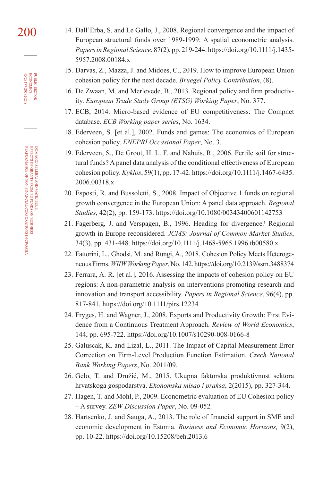- 200 14. Dall'Erba, S. and Le Gallo, J., 2008. Regional convergence and the impact of European structural funds over 1989-1999: A spatial econometric analysis. *Papers in Regional Science*, 87(2), pp. 219-244. [https://doi.org/10.1111/j.1435-](https://doi.org/10.1111/j.1435-5957.2008.00184.x) [5957.2008.00184.x](https://doi.org/10.1111/j.1435-5957.2008.00184.x)
	- 15. Darvas, Z., Mazza, J. and Midoes, C., 2019. How to improve European Union cohesion policy for the next decade. *[Bruegel Policy Contribution](https://www.bruegel.org/wp-content/uploads/2019/05/PC-08_2019.pdf)*, (8).
	- 16. De Zwaan, M. and Merlevede, B., 2013. Regional policy and firm productivity. *European Trade Study Group (ETSG) Working Paper*, No. 377.
	- 17. ECB, 2014. Micro-based evidence of EU competitiveness: The Compnet database. *[ECB Working paper series](https://www.econstor.eu/bitstream/10419/154067/1/ecbwp1634.pdf)*, No. 1634.
	- 18. Ederveen, S. [et al.], 2002. Funds and games: The economics of European cohesion policy. *[ENEPRI Occasional Paper](http://aei-dev.library.pitt.edu/1965/1/ENEPRI_OP3.pdf)*, No. 3.
	- 19. Ederveen, S., De Groot, H. L. F. and Nahuis, R., 2006. Fertile soil for structural funds? A panel data analysis of the conditional effectiveness of European cohesion policy. *Kyklos*, 59(1), pp. 17-42. [https://doi.org/10.1111/j.1467-6435.](https://doi.org/10.1111/j.1467-6435.2006.00318.x) [2006.00318.x](https://doi.org/10.1111/j.1467-6435.2006.00318.x)
	- 20. Esposti, R. and Bussoletti, S., 2008. Impact of Objective 1 funds on regional growth convergence in the European Union: A panel data approach. *Regional Studies*, 42(2), pp. 159-173.<https://doi.org/10.1080/00343400601142753>
	- 21. Fagerberg, J. and Verspagen, B., 1996. Heading for divergence? Regional growth in Europe reconsidered. *JCMS: Journal of Common Market Studies*, 34(3), pp. 431-448. <https://doi.org/10.1111/j.1468-5965.1996.tb00580.x>
	- 22. Fattorini, L., Ghodsi, M. and Rungi, A., 2018. Cohesion Policy Meets Heterogeneous Firms. *WIIW Working Paper*, No. 142.<https://doi.org/10.2139/ssrn.3488374>
	- 23. Ferrara, A. R. [et al.], 2016. Assessing the impacts of cohesion policy on EU regions: A non-parametric analysis on interventions promoting research and innovation and transport accessibility. *Papers in Regional Science*, 96(4), pp. 817-841. <https://doi.org/10.1111/pirs.12234>
	- 24. Fryges, H. and Wagner, J., 2008. Exports and Productivity Growth: First Evidence from a Continuous Treatment Approach. *Review of World Economics*, 144, pp. 695-722. <https://doi.org/10.1007/s10290-008-0166-8>
	- 25. Galuscak, K. and Lizal, L., 2011. The Impact of Capital Measurement Error Correction on Firm-Level Production Function Estimation. *Czech National Bank Working Papers*, No. 2011/09*.*
	- 26. Gelo, T. and Družić, M., 2015. Ukupna faktorska produktivnost sektora hrvatskoga gospodarstva. *[Ekonomska misao i praksa](https://hrcak.srce.hr/149639)*, 2(2015), pp. 327-344.
	- 27. Hagen, T. and Mohl, P., 2009. Econometric evaluation of EU Cohesion policy – A survey. *[ZEW Discussion Paper](http://ftp.zew.de/pub/zew-docs/dp/dp09052.pdf)*, No. 09-052*.*
	- 28. Hartsenko, J. and Sauga, A., 2013. The role of financial support in SME and economic development in Estonia. *Business and Economic Horizons,* 9(2), pp. 10-22. <https://doi.org/10.15208/beh.2013.6>

45(2) 177-207 (2021) economics

**PUBLIC SECTOR<br>ECONOMICS<br>45(2) 177-207 (2021)**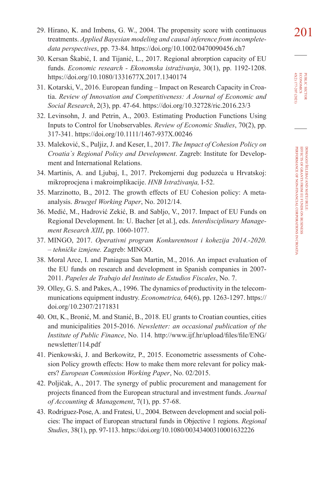29. Hirano, K. and Imbens, G. W., 2004. The propensity score with continuous  $201$ treatments. *Applied Bayesian modeling and causal inference from incompletedata perspectives*, pp. 73-84. <https://doi.org/10.1002/0470090456.ch7>

- 30. Kersan Škabić, I. and Tijanić, L., 2017. Regional abrorption capacity of EU funds. *Economic research - Ekonomska istraživanja*, 30(1), pp. 1192-1208. <https://doi.org/10.1080/1331677X.2017.1340174>
- 31. Kotarski, V., 2016. European funding Impact on Research Capacity in Croatia. *Review of Innovation and Competitiveness: A Journal of Economic and Social Research*, 2(3), pp. 47-64. <https://doi.org/10.32728/ric.2016.23/3>
- 32. Levinsohn, J. and Petrin, A., 2003. Estimating Production Functions Using Inputs to Control for Unobservables. *Review of Economic Studies*, 70(2), pp. 317-341. <https://doi.org/10.1111/1467-937X.00246>
- 33. Maleković, S., Puljiz, J. and Keser, I., 2017. *[The Impact of Cohesion Policy on](https://polocro28.irmo.hr/wp-content/uploads/2018/07/The-Impact-of-Cohesion-Policies-on-Croatia%E2%80%99s-Regional-Policy-and-Development.pdf)  [Croatia`s Regional Policy and Development](https://polocro28.irmo.hr/wp-content/uploads/2018/07/The-Impact-of-Cohesion-Policies-on-Croatia%E2%80%99s-Regional-Policy-and-Development.pdf)*. Zagreb: Institute for Development and International Relations.
- 34. Martinis, A. and Ljubaj, I., 2017. Prekomjerni dug poduzeća u Hrvatskoj: mikroprocjena i makroimplikacije. *[HNB Istraživanja,](https://www.hnb.hr/documents/20182/1993349/i-052.pdf/fcf44c9e-1921-4693-8b94-69b3e257cc7d)* I-52.
- 35. Marzinotto, B., 2012. The growth effects of EU Cohesion policy: A metaanalysis. *[Bruegel Working Paper](https://www.bruegel.org/wp-content/uploads/imported/publications/WP_2012_14_cohesion__2_.pdf)*, No. 2012/14.
- 36. Medić, M., Hadrović Zekić, B. and Sabljo, V., 2017. Impact of EU Funds on Regional Development. In: U. Bacher [et al.], eds. *Interdisciplinary Management Research XIII*, pp. 1060-1077.
- 37. MINGO, 2017. *[Operativni program Konkurentnost i kohezija 2014.-2020.](https://www.mingo.hr/public/investicije/OPKK_2014_2020_31316.pdf) [– tehničke izmjene.](https://www.mingo.hr/public/investicije/OPKK_2014_2020_31316.pdf)* Zagreb: MINGO.
- 38. Moral Arce, I. and Paniagua San Martin, M., 2016. An impact evaluation of the EU funds on research and development in Spanish companies in 2007- 2011. *[Papeles de Trabajo del Instituto de Estudios Fiscales](https://www.ief.es/docs/destacados/publicaciones/papeles_trabajo/2016_07.pdf)*, No. 7.
- 39. Olley, G. S. and Pakes, A., 1996. The dynamics of productivity in the telecommunications equipment industry. *Econometrica,* 64(6), pp. 1263-1297. [https://](https://doi.org/10.2307/2171831) [doi.org/10.2307/2171831](https://doi.org/10.2307/2171831)
- 40. Ott, K., Bronić, M. and Stanić, B., 2018. EU grants to Croatian counties, cities and municipalities 2015-2016. *Newsletter: an occasional publication of the Institute of Public Finance*, No. 114. [http://www.ijf.hr/upload/files/file/ENG/](http://www.ijf.hr/upload/files/file/ENG/newsletter/114.pdf) [newsletter/114.pdf](http://www.ijf.hr/upload/files/file/ENG/newsletter/114.pdf)
- 41. Pienkowski, J. and Berkowitz, P., 2015. Econometric assessments of Cohesion Policy growth effects: How to make them more relevant for policy makers? *[European Commission Working Paper](https://ec.europa.eu/regional_policy/sources/docgener/work/2015_02_econ_assess.pdf)*, No. 02/2015.
- 42. Poljičak, A., 2017. The synergy of public procurement and management for projects financed from the European structural and investment funds. *[Journal](https://hrcak.srce.hr/194713)  [of Accounting & Management](https://hrcak.srce.hr/194713)*, 7(1), pp. 57-68.
- 43. Rodriguez-Pose, A. and Fratesi, U., 2004. Between development and social policies: The impact of European structural funds in Objective 1 regions. *Regional Studies*, 38(1), pp. 97-113.<https://doi.org/10.1080/00343400310001632226>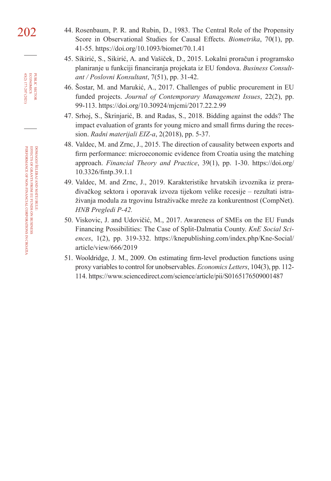- 202 44. Rosenbaum, P. R. and Rubin, D., 1983. The Central Role of the Propensity Score in Observational Studies for Causal Effects. *Biometrika*, 70(1), pp. 41-55. <https://doi.org/10.1093/biomet/70.1.41>
	- 45. Sikirić, S., Sikirić, A. and Vašiček, D., 2015. Lokalni proračun i programsko planiranje u funkciji financiranja projekata iz EU fondova. *Business Consultant / Poslovni Konsultant*, 7(51), pp. 31-42.
	- 46. Šostar, M. and Marukić, A., 2017. Challenges of public procurement in EU funded projects. *Journal of Contemporary Management Issues*, 22(2), pp. 99-113. <https://doi.org/10.30924/mjcmi/2017.22.2.99>
	- 47. Srhoj, S., Škrinjarić, B. and Radas, S., 2018. Bidding against the odds? The impact evaluation of grants for young micro and small firms during the recession. *[Radni materijali EIZ-a](https://hrcak.srce.hr/200008)*, 2(2018), pp. 5-37.
	- 48. Valdec, M. and Zrnc, J., 2015. The direction of causality between exports and firm performance: microeconomic evidence from Croatia using the matching approach. *Financial Theory and Practice*, 39(1), pp. 1-30. [https://doi.org/](https://doi.org/10.3326/fintp.39.1.1) [10.3326/fintp.39.1.1](https://doi.org/10.3326/fintp.39.1.1)
	- 49. Valdec, M. and Zrnc, J., 2019. Karakteristike hrvatskih izvoznika iz prerađivačkog sektora i oporavak izvoza tijekom velike recesije – rezultati istraživanja modula za trgovinu Istraživačke mreže za konkurentnost (CompNet). *[HNB Pregledi P-42](https://www.hnb.hr/documents/20182/2577907/p-042.pdf/80680a3b-4095-25ff-d570-cbe4acd75e69).*
	- 50. Viskovic, J. and Udovičić, M., 2017. Awareness of SMEs on the EU Funds Financing Possibilities: The Case of Split-Dalmatia County. *KnE Social Sciences*, 1(2), pp. 319-332. [https://knepublishing.com/index.php/Kne-Social/](https://knepublishing.com/index.php/Kne-Social/article/view/666/2019) [article/view/666/2019](https://knepublishing.com/index.php/Kne-Social/article/view/666/2019)
	- 51. Wooldridge, J. M., 2009. On estimating firm-level production functions using proxy variables to control for unobservables. *Economics Letters*, 104(3), pp. 112- 114.<https://www.sciencedirect.com/science/article/pii/S0165176509001487>

45(2) 177-207 (2021) economics

PUBLIC SECTOR<br>ECONOMICS 45(2) 177-207 (2021)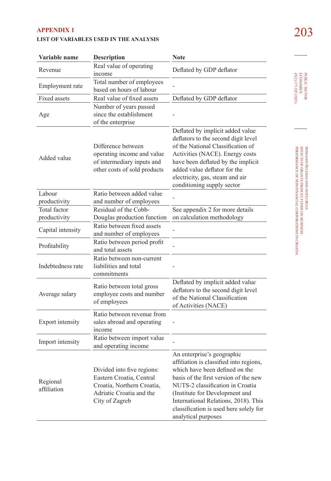## 203 **APPENDIX 1 LIST OF VARIABLES USED IN THE ANALYSIS**

| Variable name           | Description                                                                                                                        | <b>Note</b>                                                                                                                                                                                                                                                                                                                     |
|-------------------------|------------------------------------------------------------------------------------------------------------------------------------|---------------------------------------------------------------------------------------------------------------------------------------------------------------------------------------------------------------------------------------------------------------------------------------------------------------------------------|
| Revenue                 | Real value of operating<br>income                                                                                                  | Deflated by GDP deflator                                                                                                                                                                                                                                                                                                        |
| Employment rate         | Total number of employees<br>based on hours of labour                                                                              |                                                                                                                                                                                                                                                                                                                                 |
| <b>Fixed assets</b>     | Real value of fixed assets                                                                                                         | Deflated by GDP deflator                                                                                                                                                                                                                                                                                                        |
| Age                     | Number of years passed<br>since the establishment<br>of the enterprise                                                             |                                                                                                                                                                                                                                                                                                                                 |
| Added value             | Difference between<br>operating income and value<br>of intermediary inputs and<br>other costs of sold products                     | Deflated by implicit added value<br>deflators to the second digit level<br>of the National Classification of<br>Activities (NACE). Energy costs<br>have been deflated by the implicit<br>added value deflator for the<br>electricity, gas, steam and air<br>conditioning supply sector                                          |
| Labour                  | Ratio between added value                                                                                                          |                                                                                                                                                                                                                                                                                                                                 |
| productivity            | and number of employees                                                                                                            |                                                                                                                                                                                                                                                                                                                                 |
| <b>Total factor</b>     | Residual of the Cobb-                                                                                                              | See appendix 2 for more details                                                                                                                                                                                                                                                                                                 |
| productivity            | Douglas production function                                                                                                        | on calculation methodology                                                                                                                                                                                                                                                                                                      |
| Capital intensity       | Ratio between fixed assets<br>and number of employees                                                                              |                                                                                                                                                                                                                                                                                                                                 |
| Profitability           | Ratio between period profit<br>and total assets                                                                                    |                                                                                                                                                                                                                                                                                                                                 |
| Indebtedness rate       | Ratio between non-current<br>liabilities and total<br>commitments                                                                  |                                                                                                                                                                                                                                                                                                                                 |
| Average salary          | Ratio between total gross<br>employee costs and number<br>of employees                                                             | Deflated by implicit added value<br>deflators to the second digit level<br>of the National Classification<br>of Activities (NACE)                                                                                                                                                                                               |
| Export intensity        | Ratio between revenue from<br>sales abroad and operating<br>income                                                                 |                                                                                                                                                                                                                                                                                                                                 |
| Import intensity        | Ratio between import value<br>and operating income                                                                                 |                                                                                                                                                                                                                                                                                                                                 |
| Regional<br>affiliation | Divided into five regions:<br>Eastern Croatia, Central<br>Croatia, Northern Croatia,<br>Adriatic Croatia and the<br>City of Zagreb | An enterprise's geographic<br>affiliation is classified into regions,<br>which have been defined on the<br>basis of the first version of the new<br>NUTS-2 classification in Croatia<br>(Institute for Development and<br>International Relations, 2018). This<br>classification is used here solely for<br>analytical purposes |

PUBLIC SECTOR<br>ECONOMICS<br>45(2) 177-207 (2021) 45(2) 177-207 (2021) economics

 $\overline{a}$ 

DOMAGOJ ŠELEBAJ AND MATEJ BULE: public sector DOMAGOJ ŠELEBAJ AND MATEJ BULE:<br>EFFECTS OF GRANTS FROM EU FUNDS ON BUSINESS<br>PERFORMANCE OF NON-FINANCIAL CORPORATIONS IN CROATIA PERFORMANCE OF NON-FINANCIAL CORPORATIONS IN CROATIA EFFECTS OF GRANTS FROM EU FUNDS ON BUSINESS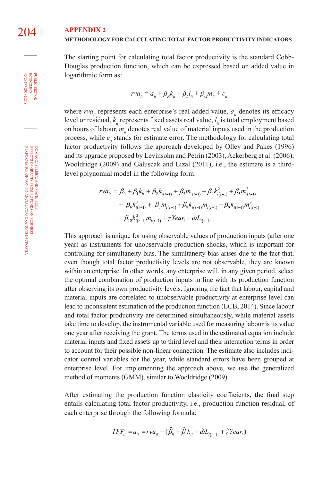#### **METHODOLOGY FOR CALCULATING TOTAL FACTOR PRODUCTIVITY INDICATORS**

The starting point for calculating total factor productivity is the standard Cobb-Douglas production function, which can be expressed based on added value in logarithmic form as:

$$
rva_{it} = a_{it} + \beta_k k_{it} + \beta_l l_{it} + \beta_M m_{it} + \varepsilon_{it}
$$

where  $rva_i$  represents each enterprise's real added value,  $a_i$  denotes its efficacy level or residual,  $k_{\mu}$  represents fixed assets real value,  $l_{\mu}$  is total employment based on hours of labour,  $m<sub>i</sub>$  denotes real value of material inputs used in the production process, while  $\varepsilon$ <sub>*i*</sub> stands for estimate error. The methodology for calculating total factor productivity follows the approach developed by Olley and Pakes (1996) and its upgrade proposed by Levinsohn and Petrin (2003), Ackerberg et al. (2006), Wooldridge (2009) and Galuscak and Lizal (2011), i.e., the estimate is a thirdlevel polynomial model in the following form:

$$
rv a_{ii} = \beta_0 + \beta_1 k_{ii} + \beta_2 k_{i(t-1)} + \beta_3 m_{i(t-1)} + \beta_4 k_{i(t-1)}^2 + \beta_5 m_{i(t-1)}^2
$$
  
+  $\beta_6 k_{i(t-1)}^3 + \beta_7 m_{i(t-1)}^3 + \beta_8 k_{i(t-1)} m_{i(t-1)} + \beta_9 k_{i(t-1)} m_{i(t-1)}^2$   
+  $\beta_{10} k_{i(t-1)}^2 m_{i(t-1)} + \gamma$  *Year*<sub>t</sub> +  $\omega L_{i(t-1)}$ 

This approach is unique for using observable values of production inputs (after one year) as instruments for unobservable production shocks, which is important for controlling for simultaneity bias. The simultaneity bias arises due to the fact that, even though total factor productivity levels are not observable, they are known within an enterprise. In other words, any enterprise will, in any given period, select the optimal combination of production inputs in line with its production function after observing its own productivity levels. Ignoring the fact that labour, capital and material inputs are correlated to unobservable productivity at enterprise level can lead to inconsistent estimation of the production function (ECB, 2014). Since labour and total factor productivity are determined simultaneously, while material assets take time to develop, the instrumental variable used for measuring labour is its value one year after receiving the grant. The terms used in the estimated equation include material inputs and fixed assets up to third level and their interaction terms in order to account for their possible non-linear connection. The estimate also includes indicator control variables for the year, while standard errors have been grouped at enterprise level. For implementing the approach above, we use the generalized method of moments (GMM), similar to Wooldridge (2009).

After estimating the production function elasticity coefficients, the final step entails calculating total factor productivity, i.e., production function residual, of each enterprise through the following formula:

$$
TFP_{it} = a_{it} = rva_{it} - (\hat{\beta}_0 + \hat{\beta}_1 k_{it} + \hat{\omega}L_{i(t-1)} + \hat{\gamma} Year_t)
$$

45(2) 177-207 (2021) economics

PUBLIC SECTOR<br>ECONOMICS 45(2) 177-207 (2021)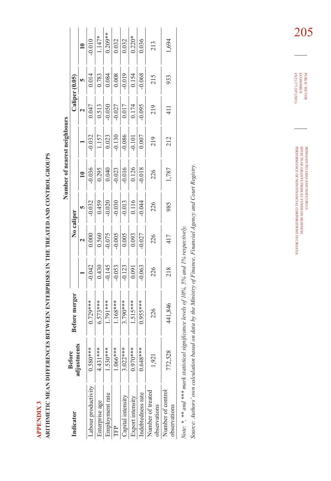**APPENDIX3 APPENDIX 3** 

ARITHMETIC MEAN DIFFERENCES BETWEEN ENTERPRISES IN THE TREATED AND CONTROL GROUPS **ARITHMETIC MEAN DIFFERENCES BETWEEN ENTERPRISES IN THE TREATED AND CONTROL GROUPS**

|                                   |                             |               |                         |                         |                        | Number of nearest neighbours |          |          |                                                                                                     |                         |
|-----------------------------------|-----------------------------|---------------|-------------------------|-------------------------|------------------------|------------------------------|----------|----------|-----------------------------------------------------------------------------------------------------|-------------------------|
| <b>Indicator</b>                  | adjustment<br><b>Before</b> | Before merger |                         |                         | No caliper             |                              |          |          | Caliper (0.05)                                                                                      |                         |
|                                   |                             |               |                         |                         | $\mathbf{v}$           | $\overline{10}$              |          |          |                                                                                                     | $\overline{10}$         |
| abour productivity.               | $0.580***$                  | $0.729***$    | $-0.042$                | $\overline{0.000}$      | $\frac{-0.032}{0.459}$ | $-0.036$                     | $-0.032$ | 0.047    | $\frac{0.014}{5}$                                                                                   | $\frac{10.01}{10.01}$   |
| nterprise age                     | $4.431***$                  | $6.573***$    | 0.430                   | 0.560                   |                        | 0.295                        | 1.157    | 0.513    |                                                                                                     | $1.147*$                |
| Employment rate                   | $1.530***$                  | 1.791***      | $\frac{-0.145}{-0.053}$ | $\frac{10.075}{-0.005}$ | $-0.020$<br>$-0.030$   | 0.040                        | 0.023    | $-0.050$ | $\begin{array}{r l}\n 0.783 \\  \hline\n 0.084 \\  \hline\n 0.008 \\  \hline\n 0.019\n \end{array}$ | $\frac{0.209**}{0.032}$ |
|                                   | $1.066***$                  | $1.168***$    |                         |                         |                        | $-0.023$                     | $-0.130$ | $-0.027$ |                                                                                                     |                         |
| Capital intensity                 | $3.022***$                  | $3.790***$    | $-0.123$                |                         | $-0.013$               | $-0.016$                     | $-0.086$ | 0.017    |                                                                                                     | 0.032                   |
| Export intensity                  | $0.970***$                  | $1.515***$    | 0.091                   | 0.093                   | 0.116                  | 0.126                        | $-0.101$ | 0.174    | 0.154                                                                                               | $0.220*$                |
| indebtedness rate                 | $0.648***$                  | $0.955***$    | $-0.063$                | $-0.027$                | $-0.044$               | $-0.018$                     | $0.007$  | $-0.095$ | $-0.068$                                                                                            | 0.036                   |
| Number of treated<br>observations | 1.921                       | 226           | 226                     | 226                     | 226                    | 226                          | 219      | 219      | 215                                                                                                 | 213                     |
| Number of control<br>observations | 772,528                     | 441,846       | 218                     | 417                     | 985                    | 1,787                        | 212      |          | 933                                                                                                 | 1,694                   |
|                                   |                             |               |                         |                         |                        |                              |          |          |                                                                                                     |                         |

 $\frac{1}{2}$  mark statistical significance levels of 10%, 5% and 1% respectively. *Note: \*, \*\* and \*\*\* mark statistical significance levels of 10%, 5% and 1% respectively.* Note: ", " and "

Source: Authors' own calculation based on data by the Ministry of Finance, Financial Agency and Court Registry. *Source: Authors' own calculation based on data by the Ministry of Finance, Financial Agency and Court Registry.*

205

DOMAGOJ ŠELEBAJ AND MATEJ BULE: public sector PERFORMANCE OF NON-FINANCIAL CORPORATIONS IN CROATIA DOMAGOJ ŠELEBAJ AND MATEJ BULE:<br>EFFECTS OF GRANTS FROM EU FUNDS ON BUSINESS PERFORMANCE OF NON-FINANCIAL CORPORATIONS IN CROATIA EFFECTS OF GRANTS FROM EU FUNDS ON BUSINESS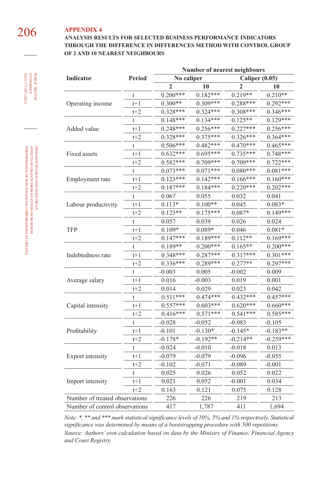### 206 **APPENDIX 4 ANALYSIS RESULTS FOR SELECTED BUSINESS PERFORMANCE INDICATORS THROUGH THE DIFFERENCE IN DIFFERENCES METHOD WITH CONTROL GROUP OF 2 AND 10 NEAREST NEIGHBOURS**

|                                |               |                | Number of nearest neighbours |                |             |
|--------------------------------|---------------|----------------|------------------------------|----------------|-------------|
| Indicator                      | <b>Period</b> | No caliper     |                              | Caliper (0.05) |             |
|                                |               | $\overline{2}$ | 10                           | $\mathbf{2}$   | 10          |
|                                | t             | $0.200***$     | $0.182***$                   | $0.219**$      | $0.210**$   |
| Operating income               | $t+1$         | $0.300**$      | $0.309***$                   | $0.288***$     | $0.292***$  |
|                                | $t+2$         | $0.328***$     | $0.324***$                   | $0.308***$     | $0.346***$  |
|                                | t             | $0.148***$     | $0.134***$                   | $0.125**$      | $0.129***$  |
| Added value                    | $t+1$         | $0.248***$     | $0.256***$                   | $0.227***$     | $0.256***$  |
|                                | $t+2$         | $0.328***$     | $0.375***$                   | $0.326***$     | $0.364***$  |
|                                | t             | $0.506***$     | $0.482***$                   | $0.470***$     | $0.465***$  |
| Fixed assets                   | $t+1$         | $0.632***$     | $0.695***$                   | 0.735***       | $0.748***$  |
|                                | $t+2$         | $0.582***$     | $0.709***$                   | 0.709***       | $0.722***$  |
|                                | t             | $0.073***$     | $0.071***$                   | $0.080***$     | $0.081***$  |
| Employment rate                | $t+1$         | $0.123***$     | $0.142***$                   | $0.166***$     | $0.160***$  |
|                                | $t+2$         | $0.187***$     | $0.184***$                   | $0.220***$     | $0.202***$  |
|                                | t             | 0.067          | 0.055                        | 0.032          | 0.041       |
| Labour productivity            | t+1           | $0.113*$       | $0.100**$                    | 0.045          | $0.083*$    |
|                                | $t+2$         | $0.123**$      | $0.175***$                   | $0.087*$       | $0.149***$  |
|                                | t             | 0.057          | 0.039                        | 0.026          | 0.024       |
| <b>TFP</b>                     | $t+1$         | $0.109*$       | $0.089*$                     | 0.046          | $0.081*$    |
|                                | $t+2$         | $0.147***$     | $0.189***$                   | $0.112**$      | $0.169***$  |
|                                | t             | $0.189**$      | $0.200***$                   | $0.165**$      | $0.200***$  |
| Indebtedness rate              | $t+1$         | $0.348***$     | $0.287***$                   | $0.317***$     | $0.301***$  |
|                                | $t+2$         | $0.336***$     | $0.289***$                   | $0.277**$      | $0.297***$  |
|                                | t             | $-0.003$       | 0.005                        | $-0.002$       | 0.009       |
| Average salary                 | $t+1$         | 0.016          | $-0.003$                     | 0.019          | 0.001       |
|                                | $t+2$         | 0.014          | 0.029                        | 0.023          | 0.042       |
|                                | t             | $0.511***$     | $0.474***$                   | $0.432***$     | $0.457***$  |
| Capital intensity              | t+1           | $0.557***$     | $0.603***$                   | $0.620***$     | $0.660***$  |
|                                | $t+2$         | $0.416***$     | $0.571***$                   | $0.541***$     | $0.585***$  |
|                                | t             | $-0.028$       | $-0.052$                     | $-0.083$       | $-0.105$    |
| Profitability                  | $t+1$         | $-0.101$       | $-0.130*$                    | $-0.145*$      | $-0.183**$  |
|                                | $t+2$         | $-0.178*$      | $-0.192**$                   | $-0.214**$     | $-0.259***$ |
|                                | t             | $-0.024$       | $-0.010$                     | $-0.018$       | 0.013       |
| Export intensity               | $t+1$         | $-0.079$       | $-0.079$                     | $-0.096$       | $-0.055$    |
|                                | $t+2$         | $-0.102$       | $-0.071$                     | $-0.089$       | $-0.001$    |
|                                | t             | 0.025          | 0.026                        | 0.052          | 0.022       |
| Import intensity               | $t+1$         | 0.021          | 0.052                        | $-0.001$       | 0.034       |
|                                | $t+2$         | 0.163          | 0.121                        | 0.075          | 0.128       |
| Number of treated observations |               | 226            | 226                          | 219            | 213         |
| Number of control observations |               | 417            | 1,787                        | 411            | 1,694       |

*Note: \*, \*\* and \*\*\* mark statistical significance levels of 10%, 5% and 1% respectively. Statistical significance was determined by means of a bootstrapping procedure with 500 repetitions. Source: Authors' own calculation based on data by the Ministry of Finance, Financial Agency and Court Registry.*

DOMAGOJ ŠELEBAJ AND MATEJ BULE: public sector DOMAGOJ ŠELEBAJ AND MATEJ BULE:<br>EFFECTS OF GRANTS FROM EU FUNDS ON BUSINESS<br>PERFORMANCE OF NON-FINANCIAL CORPORATIONS IN CROATIA PERFORMANCE OF NON-FINANCIAL CORPORATIONS IN CROATIA EFFECTS OF GRANTS FROM EU FUNDS ON BUSINESS

45(2) 177-207 (2021) economics

**PUBLIC SECTOR<br>ECONOMICS**<br>45(2) 177-207 (2021)